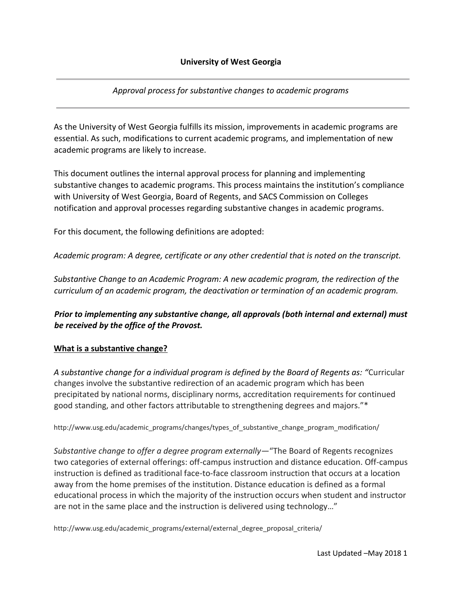*Approval process for substantive changes to academic programs* 

As the University of West Georgia fulfills its mission, improvements in academic programs are essential. As such, modifications to current academic programs, and implementation of new academic programs are likely to increase.

This document outlines the internal approval process for planning and implementing substantive changes to academic programs. This process maintains the institution's compliance with University of West Georgia, Board of Regents, and SACS Commission on Colleges notification and approval processes regarding substantive changes in academic programs.

For this document, the following definitions are adopted:

*Academic program: A degree, certificate or any other credential that is noted on the transcript.* 

*Substantive Change to an Academic Program: A new academic program, the redirection of the curriculum of an academic program, the deactivation or termination of an academic program.*

*Prior to implementing any substantive change, all approvals (both internal and external) must be received by the office of the Provost.* 

# **What is a substantive change?**

*A substantive change for a individual program is defined by the Board of Regents as: "*Curricular changes involve the substantive redirection of an academic program which has been precipitated by national norms, disciplinary norms, accreditation requirements for continued good standing, and other factors attributable to strengthening degrees and majors."\*

http://www.usg.edu/academic\_programs/changes/types\_of\_substantive\_change\_program\_modification/

*Substantive change to offer a degree program externally—*"The Board of Regents recognizes two categories of external offerings: off-campus instruction and distance education. Off-campus instruction is defined as traditional face-to-face classroom instruction that occurs at a location away from the home premises of the institution. Distance education is defined as a formal educational process in which the majority of the instruction occurs when student and instructor are not in the same place and the instruction is delivered using technology…"

http://www.usg.edu/academic\_programs/external/external\_degree\_proposal\_criteria/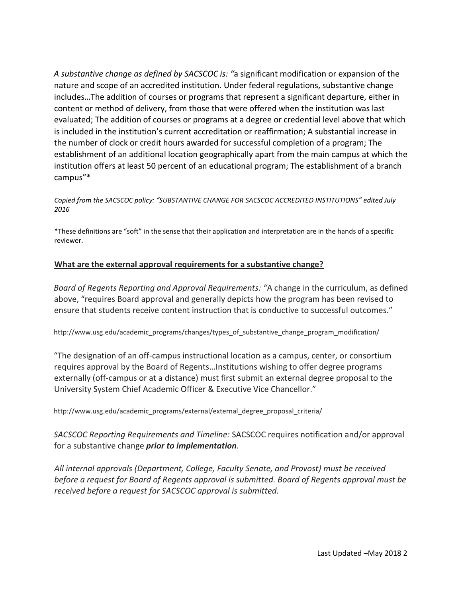*A substantive change as defined by SACSCOC is: "*a significant modification or expansion of the nature and scope of an accredited institution. Under federal regulations, substantive change includes…The addition of courses or programs that represent a significant departure, either in content or method of delivery, from those that were offered when the institution was last evaluated; The addition of courses or programs at a degree or credential level above that which is included in the institution's current accreditation or reaffirmation; A substantial increase in the number of clock or credit hours awarded for successful completion of a program; The establishment of an additional location geographically apart from the main campus at which the institution offers at least 50 percent of an educational program; The establishment of a branch campus"\*

*Copied from the SACSCOC policy: "SUBSTANTIVE CHANGE FOR SACSCOC ACCREDITED INSTITUTIONS" edited July 2016*

\*These definitions are "soft" in the sense that their application and interpretation are in the hands of a specific reviewer.

#### **What are the external approval requirements for a substantive change?**

*Board of Regents Reporting and Approval Requirements: "*A change in the curriculum, as defined above, "requires Board approval and generally depicts how the program has been revised to ensure that students receive content instruction that is conductive to successful outcomes."

http://www.usg.edu/academic\_programs/changes/types\_of\_substantive\_change\_program\_modification/

"The designation of an off-campus instructional location as a campus, center, or consortium requires approval by the Board of Regents…Institutions wishing to offer degree programs externally (off-campus or at a distance) must first submit an external degree proposal to the University System Chief Academic Officer & Executive Vice Chancellor."

http://www.usg.edu/academic\_programs/external/external\_degree\_proposal\_criteria/

*SACSCOC Reporting Requirements and Timeline:* SACSCOC requires notification and/or approval for a substantive change *prior to implementation*.

*All internal approvals (Department, College, Faculty Senate, and Provost) must be received before a request for Board of Regents approval is submitted. Board of Regents approval must be received before a request for SACSCOC approval is submitted.*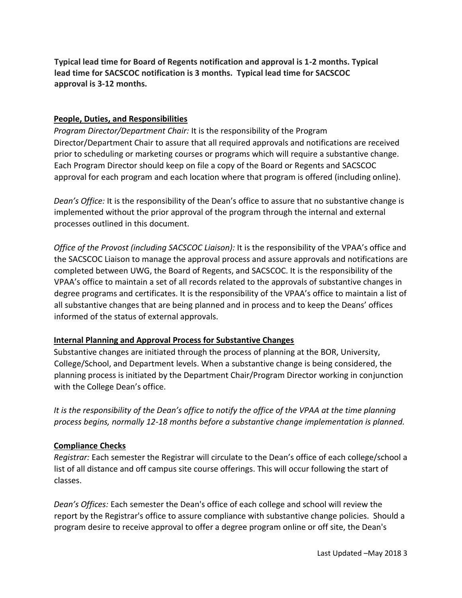**Typical lead time for Board of Regents notification and approval is 1-2 months. Typical lead time for SACSCOC notification is 3 months. Typical lead time for SACSCOC approval is 3-12 months.**

#### **People, Duties, and Responsibilities**

*Program Director/Department Chair:* It is the responsibility of the Program Director/Department Chair to assure that all required approvals and notifications are received prior to scheduling or marketing courses or programs which will require a substantive change. Each Program Director should keep on file a copy of the Board or Regents and SACSCOC approval for each program and each location where that program is offered (including online).

*Dean's Office:* It is the responsibility of the Dean's office to assure that no substantive change is implemented without the prior approval of the program through the internal and external processes outlined in this document.

*Office of the Provost (including SACSCOC Liaison):* It is the responsibility of the VPAA's office and the SACSCOC Liaison to manage the approval process and assure approvals and notifications are completed between UWG, the Board of Regents, and SACSCOC. It is the responsibility of the VPAA's office to maintain a set of all records related to the approvals of substantive changes in degree programs and certificates. It is the responsibility of the VPAA's office to maintain a list of all substantive changes that are being planned and in process and to keep the Deans' offices informed of the status of external approvals.

#### **Internal Planning and Approval Process for Substantive Changes**

Substantive changes are initiated through the process of planning at the BOR, University, College/School, and Department levels. When a substantive change is being considered, the planning process is initiated by the Department Chair/Program Director working in conjunction with the College Dean's office.

*It is the responsibility of the Dean's office to notify the office of the VPAA at the time planning process begins, normally 12-18 months before a substantive change implementation is planned.* 

#### **Compliance Checks**

*Registrar:* Each semester the Registrar will circulate to the Dean's office of each college/school a list of all distance and off campus site course offerings. This will occur following the start of classes.

*Dean's Offices:* Each semester the Dean's office of each college and school will review the report by the Registrar's office to assure compliance with substantive change policies. Should a program desire to receive approval to offer a degree program online or off site, the Dean's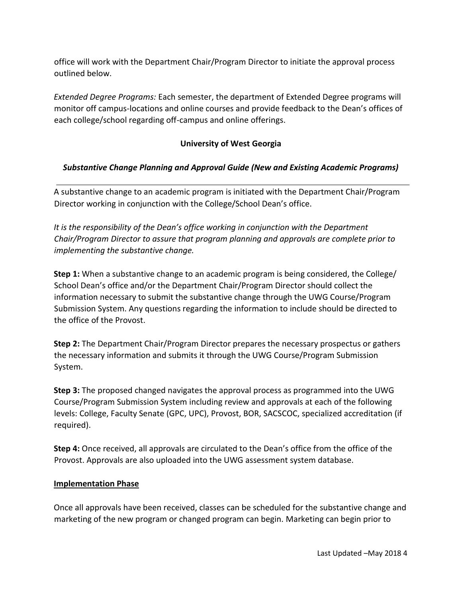office will work with the Department Chair/Program Director to initiate the approval process outlined below.

*Extended Degree Programs:* Each semester, the department of Extended Degree programs will monitor off campus-locations and online courses and provide feedback to the Dean's offices of each college/school regarding off-campus and online offerings.

## **University of West Georgia**

### *Substantive Change Planning and Approval Guide (New and Existing Academic Programs)*

A substantive change to an academic program is initiated with the Department Chair/Program Director working in conjunction with the College/School Dean's office.

*It is the responsibility of the Dean's office working in conjunction with the Department Chair/Program Director to assure that program planning and approvals are complete prior to implementing the substantive change.* 

**Step 1:** When a substantive change to an academic program is being considered, the College/ School Dean's office and/or the Department Chair/Program Director should collect the information necessary to submit the substantive change through the UWG Course/Program Submission System. Any questions regarding the information to include should be directed to the office of the Provost.

**Step 2:** The Department Chair/Program Director prepares the necessary prospectus or gathers the necessary information and submits it through the UWG Course/Program Submission System.

**Step 3:** The proposed changed navigates the approval process as programmed into the UWG Course/Program Submission System including review and approvals at each of the following levels: College, Faculty Senate (GPC, UPC), Provost, BOR, SACSCOC, specialized accreditation (if required).

**Step 4:** Once received, all approvals are circulated to the Dean's office from the office of the Provost. Approvals are also uploaded into the UWG assessment system database.

#### **Implementation Phase**

Once all approvals have been received, classes can be scheduled for the substantive change and marketing of the new program or changed program can begin. Marketing can begin prior to